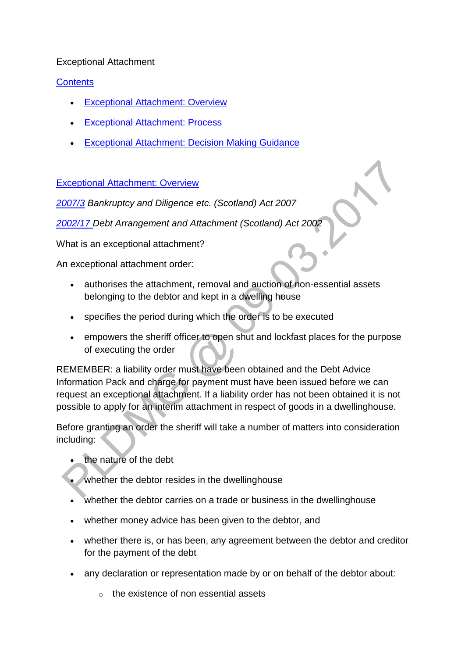#### Exceptional Attachment

# **[Contents](http://np-cmg-sharepoint.link2.gpn.gov.uk/sites/policy-law-and-decision-making-guidance/Pages/Legal%20Enforcement%20-%20Scotland/Exceptional-Attachment.aspx?ControlMode=Edit&DisplayMode=Design)**

- [Exceptional Attachment: Overview](http://np-cmg-sharepoint.link2.gpn.gov.uk/sites/policy-law-and-decision-making-guidance/Pages/Legal%20Enforcement%20-%20Scotland/Exceptional-Attachment.aspx#Exceptional%20Attachment%3a%20Overview)
- [Exceptional Attachment: Process](http://np-cmg-sharepoint.link2.gpn.gov.uk/sites/policy-law-and-decision-making-guidance/Pages/Legal%20Enforcement%20-%20Scotland/Exceptional-Attachment.aspx#Exceptional%20Attachments%3a%20Process)
- [Exceptional Attachment: Decision Making Guidance](http://np-cmg-sharepoint.link2.gpn.gov.uk/sites/policy-law-and-decision-making-guidance/Pages/Legal%20Enforcement%20-%20Scotland/Exceptional-Attachment.aspx#Exceptional%20Attachment%3a%20Decision%20Making%20Guidance)

[Exceptional Attachment: Overview](http://np-cmg-sharepoint.link2.gpn.gov.uk/sites/policy-law-and-decision-making-guidance/Pages/Legal%20Enforcement%20-%20Scotland/Exceptional-Attachment.aspx?ControlMode=Edit&DisplayMode=Design)

*[2007/3](http://www.legislation.gov.uk/asp/2007/3/contents) Bankruptcy and Diligence etc. (Scotland) Act 2007*

*[2002/17 D](http://www.legislation.gov.uk/asp/2002/17/contents)ebt Arrangement and Attachment (Scotland) Act 2002*

What is an exceptional attachment?

An exceptional attachment order:

- authorises the attachment, removal and auction of non-essential assets belonging to the debtor and kept in a dwelling house
- specifies the period during which the order is to be executed
- empowers the sheriff officer to open shut and lockfast places for the purpose of executing the order

REMEMBER: a liability order must have been obtained and the Debt Advice Information Pack and charge for payment must have been issued before we can request an exceptional attachment. If a liability order has not been obtained it is not possible to apply for an interim attachment in respect of goods in a dwellinghouse.

Before granting an order the sheriff will take a number of matters into consideration including:

- the nature of the debt
- whether the debtor resides in the dwellinghouse
- whether the debtor carries on a trade or business in the dwellinghouse
- whether money advice has been given to the debtor, and
- whether there is, or has been, any agreement between the debtor and creditor for the payment of the debt
- any declaration or representation made by or on behalf of the debtor about:
	- $\circ$  the existence of non essential assets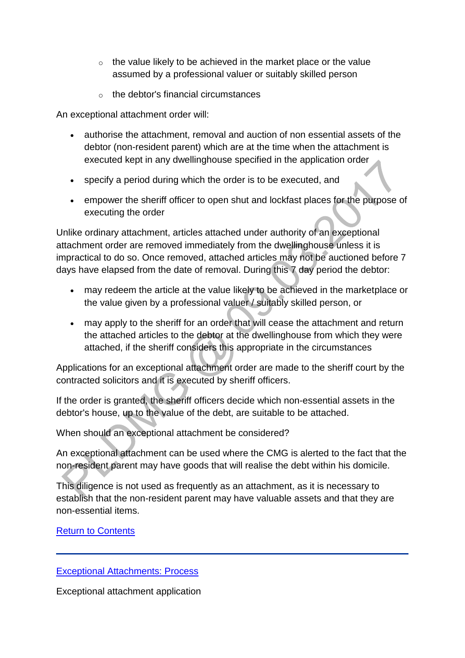- $\circ$  the value likely to be achieved in the market place or the value assumed by a professional valuer or suitably skilled person
- o the debtor's financial circumstances

An exceptional attachment order will:

- authorise the attachment, removal and auction of non essential assets of the debtor (non-resident parent) which are at the time when the attachment is executed kept in any dwellinghouse specified in the application order
- specify a period during which the order is to be executed, and
- empower the sheriff officer to open shut and lockfast places for the purpose of executing the order

Unlike ordinary attachment, articles attached under authority of an exceptional attachment order are removed immediately from the dwellinghouse unless it is impractical to do so. Once removed, attached articles may not be auctioned before 7 days have elapsed from the date of removal. During this 7 day period the debtor:

- may redeem the article at the value likely to be achieved in the marketplace or the value given by a professional valuer / suitably skilled person, or
- may apply to the sheriff for an order that will cease the attachment and return the attached articles to the debtor at the dwellinghouse from which they were attached, if the sheriff considers this appropriate in the circumstances

Applications for an exceptional attachment order are made to the sheriff court by the contracted solicitors and it is executed by sheriff officers.

If the order is granted, the sheriff officers decide which non-essential assets in the debtor's house, up to the value of the debt, are suitable to be attached.

When should an exceptional attachment be considered?

An exceptional attachment can be used where the CMG is alerted to the fact that the non-resident parent may have goods that will realise the debt within his domicile.

This diligence is not used as frequently as an attachment, as it is necessary to establish that the non-resident parent may have valuable assets and that they are non-essential items.

[Return to Contents](http://np-cmg-sharepoint.link2.gpn.gov.uk/sites/policy-law-and-decision-making-guidance/Pages/Legal%20Enforcement%20-%20Scotland/Exceptional-Attachment.aspx#Contents)

#### [Exceptional Attachments: Process](http://np-cmg-sharepoint.link2.gpn.gov.uk/sites/policy-law-and-decision-making-guidance/Pages/Legal%20Enforcement%20-%20Scotland/Exceptional-Attachment.aspx?ControlMode=Edit&DisplayMode=Design)

Exceptional attachment application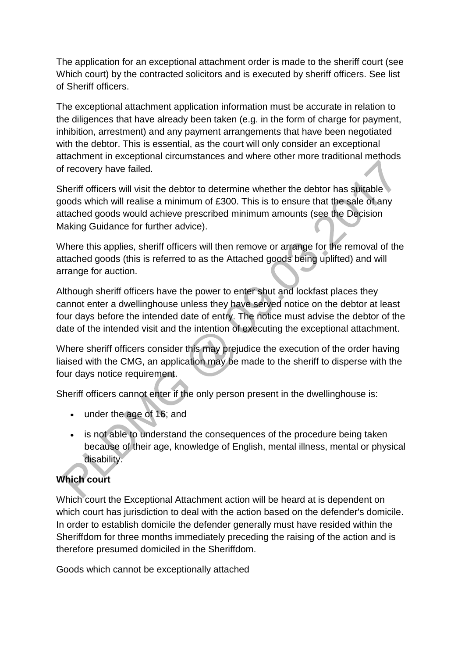The application for an exceptional attachment order is made to the sheriff court (see Which court) by the contracted solicitors and is executed by sheriff officers. See list of Sheriff officers.

The exceptional attachment application information must be accurate in relation to the diligences that have already been taken (e.g. in the form of charge for payment, inhibition, arrestment) and any payment arrangements that have been negotiated with the debtor. This is essential, as the court will only consider an exceptional attachment in exceptional circumstances and where other more traditional methods of recovery have failed.

Sheriff officers will visit the debtor to determine whether the debtor has suitable goods which will realise a minimum of £300. This is to ensure that the sale of any attached goods would achieve prescribed minimum amounts (see the Decision Making Guidance for further advice).

Where this applies, sheriff officers will then remove or arrange for the removal of the attached goods (this is referred to as the Attached goods being uplifted) and will arrange for auction.

Although sheriff officers have the power to enter shut and lockfast places they cannot enter a dwellinghouse unless they have served notice on the debtor at least four days before the intended date of entry. The notice must advise the debtor of the date of the intended visit and the intention of executing the exceptional attachment.

Where sheriff officers consider this may prejudice the execution of the order having liaised with the CMG, an application may be made to the sheriff to disperse with the four days notice requirement.

Sheriff officers cannot enter if the only person present in the dwellinghouse is:

- under the age of 16; and
- is not able to understand the consequences of the procedure being taken because of their age, knowledge of English, mental illness, mental or physical disability.

# **Which court**

Which court the Exceptional Attachment action will be heard at is dependent on which court has jurisdiction to deal with the action based on the defender's domicile. In order to establish domicile the defender generally must have resided within the Sheriffdom for three months immediately preceding the raising of the action and is therefore presumed domiciled in the Sheriffdom.

Goods which cannot be exceptionally attached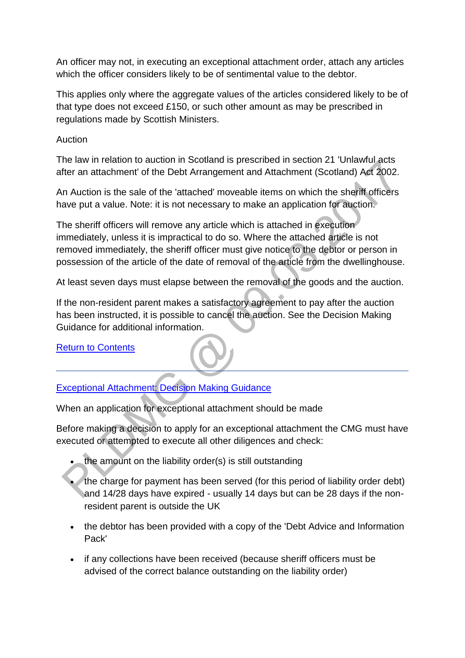An officer may not, in executing an exceptional attachment order, attach any articles which the officer considers likely to be of sentimental value to the debtor.

This applies only where the aggregate values of the articles considered likely to be of that type does not exceed £150, or such other amount as may be prescribed in regulations made by Scottish Ministers.

Auction

The law in relation to auction in Scotland is prescribed in section 21 'Unlawful acts after an attachment' of the Debt Arrangement and Attachment (Scotland) Act 2002.

An Auction is the sale of the 'attached' moveable items on which the sheriff officers have put a value. Note: it is not necessary to make an application for auction.

The sheriff officers will remove any article which is attached in execution immediately, unless it is impractical to do so. Where the attached article is not removed immediately, the sheriff officer must give notice to the debtor or person in possession of the article of the date of removal of the article from the dwellinghouse.

At least seven days must elapse between the removal of the goods and the auction.

If the non-resident parent makes a satisfactory agreement to pay after the auction has been instructed, it is possible to cancel the auction. See the Decision Making Guidance for additional information.

[Return to Contents](http://np-cmg-sharepoint.link2.gpn.gov.uk/sites/policy-law-and-decision-making-guidance/Pages/Legal%20Enforcement%20-%20Scotland/Exceptional-Attachment.aspx#Contents)

# [Exceptional Attachment: Decision Making Guidance](http://np-cmg-sharepoint.link2.gpn.gov.uk/sites/policy-law-and-decision-making-guidance/Pages/Legal%20Enforcement%20-%20Scotland/Exceptional-Attachment.aspx?ControlMode=Edit&DisplayMode=Design)

When an application for exceptional attachment should be made

Before making a decision to apply for an exceptional attachment the CMG must have executed or attempted to execute all other diligences and check:

- the amount on the liability order(s) is still outstanding
- the charge for payment has been served (for this period of liability order debt) and 14/28 days have expired - usually 14 days but can be 28 days if the nonresident parent is outside the UK
- the debtor has been provided with a copy of the 'Debt Advice and Information Pack'
- if any collections have been received (because sheriff officers must be advised of the correct balance outstanding on the liability order)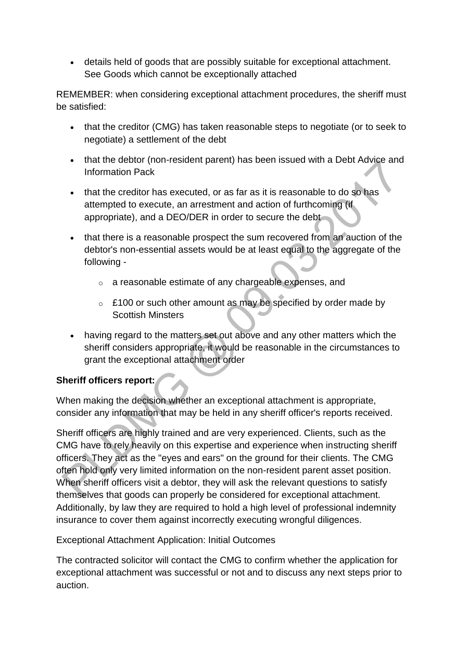details held of goods that are possibly suitable for exceptional attachment. See Goods which cannot be exceptionally attached

REMEMBER: when considering exceptional attachment procedures, the sheriff must be satisfied:

- that the creditor (CMG) has taken reasonable steps to negotiate (or to seek to negotiate) a settlement of the debt
- that the debtor (non-resident parent) has been issued with a Debt Advice and Information Pack
- that the creditor has executed, or as far as it is reasonable to do so has attempted to execute, an arrestment and action of furthcoming (if appropriate), and a DEO/DER in order to secure the debt
- that there is a reasonable prospect the sum recovered from an auction of the debtor's non-essential assets would be at least equal to the aggregate of the following
	- o a reasonable estimate of any chargeable expenses, and
	- $\circ$  £100 or such other amount as may be specified by order made by Scottish Minsters
- having regard to the matters set out above and any other matters which the sheriff considers appropriate, it would be reasonable in the circumstances to grant the exceptional attachment order

# **Sheriff officers report:**

When making the decision whether an exceptional attachment is appropriate, consider any information that may be held in any sheriff officer's reports received.

Sheriff officers are highly trained and are very experienced. Clients, such as the CMG have to rely heavily on this expertise and experience when instructing sheriff officers. They act as the "eyes and ears" on the ground for their clients. The CMG often hold only very limited information on the non-resident parent asset position. When sheriff officers visit a debtor, they will ask the relevant questions to satisfy themselves that goods can properly be considered for exceptional attachment. Additionally, by law they are required to hold a high level of professional indemnity insurance to cover them against incorrectly executing wrongful diligences.

Exceptional Attachment Application: Initial Outcomes

The contracted solicitor will contact the CMG to confirm whether the application for exceptional attachment was successful or not and to discuss any next steps prior to auction.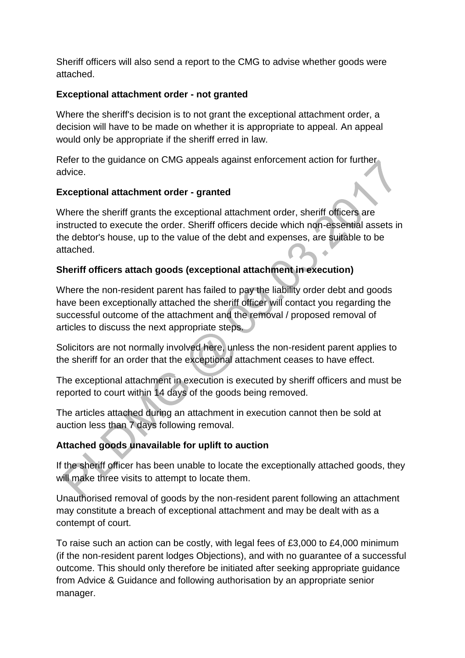Sheriff officers will also send a report to the CMG to advise whether goods were attached.

## **Exceptional attachment order - not granted**

Where the sheriff's decision is to not grant the exceptional attachment order, a decision will have to be made on whether it is appropriate to appeal. An appeal would only be appropriate if the sheriff erred in law.

Refer to the guidance on CMG appeals against enforcement action for further advice.

## **Exceptional attachment order - granted**

Where the sheriff grants the exceptional attachment order, sheriff officers are instructed to execute the order. Sheriff officers decide which non-essential assets in the debtor's house, up to the value of the debt and expenses, are suitable to be attached. Ä

# **Sheriff officers attach goods (exceptional attachment in execution)**

Where the non-resident parent has failed to pay the liability order debt and goods have been exceptionally attached the sheriff officer will contact you regarding the successful outcome of the attachment and the removal / proposed removal of articles to discuss the next appropriate steps.

Solicitors are not normally involved here, unless the non-resident parent applies to the sheriff for an order that the exceptional attachment ceases to have effect.

The exceptional attachment in execution is executed by sheriff officers and must be reported to court within 14 days of the goods being removed.

The articles attached during an attachment in execution cannot then be sold at auction less than 7 days following removal.

# **Attached goods unavailable for uplift to auction**

If the sheriff officer has been unable to locate the exceptionally attached goods, they will make three visits to attempt to locate them.

Unauthorised removal of goods by the non-resident parent following an attachment may constitute a breach of exceptional attachment and may be dealt with as a contempt of court.

To raise such an action can be costly, with legal fees of £3,000 to £4,000 minimum (if the non-resident parent lodges Objections), and with no guarantee of a successful outcome. This should only therefore be initiated after seeking appropriate guidance from Advice & Guidance and following authorisation by an appropriate senior manager.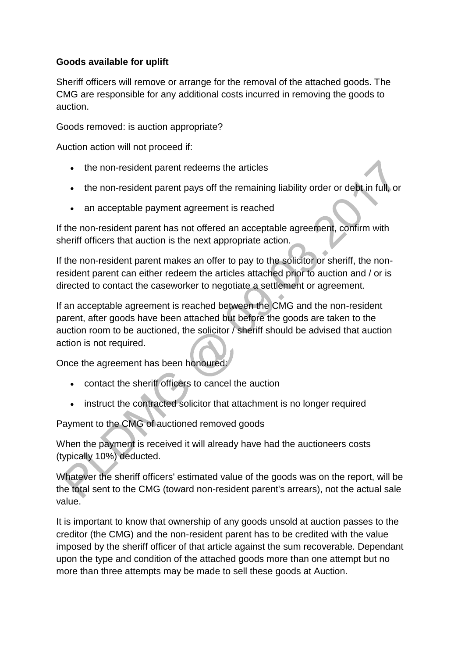## **Goods available for uplift**

Sheriff officers will remove or arrange for the removal of the attached goods. The CMG are responsible for any additional costs incurred in removing the goods to auction.

Goods removed: is auction appropriate?

Auction action will not proceed if:

- the non-resident parent redeems the articles
- the non-resident parent pays off the remaining liability order or debt in full, or
- an acceptable payment agreement is reached

If the non-resident parent has not offered an acceptable agreement, confirm with sheriff officers that auction is the next appropriate action.

If the non-resident parent makes an offer to pay to the solicitor or sheriff, the nonresident parent can either redeem the articles attached prior to auction and / or is directed to contact the caseworker to negotiate a settlement or agreement.

If an acceptable agreement is reached between the CMG and the non-resident parent, after goods have been attached but before the goods are taken to the auction room to be auctioned, the solicitor / sheriff should be advised that auction action is not required.

Once the agreement has been honoured:

- contact the sheriff officers to cancel the auction
- instruct the contracted solicitor that attachment is no longer required

Payment to the CMG of auctioned removed goods

When the payment is received it will already have had the auctioneers costs (typically 10%) deducted.

Whatever the sheriff officers' estimated value of the goods was on the report, will be the total sent to the CMG (toward non-resident parent's arrears), not the actual sale value.

It is important to know that ownership of any goods unsold at auction passes to the creditor (the CMG) and the non-resident parent has to be credited with the value imposed by the sheriff officer of that article against the sum recoverable. Dependant upon the type and condition of the attached goods more than one attempt but no more than three attempts may be made to sell these goods at Auction.